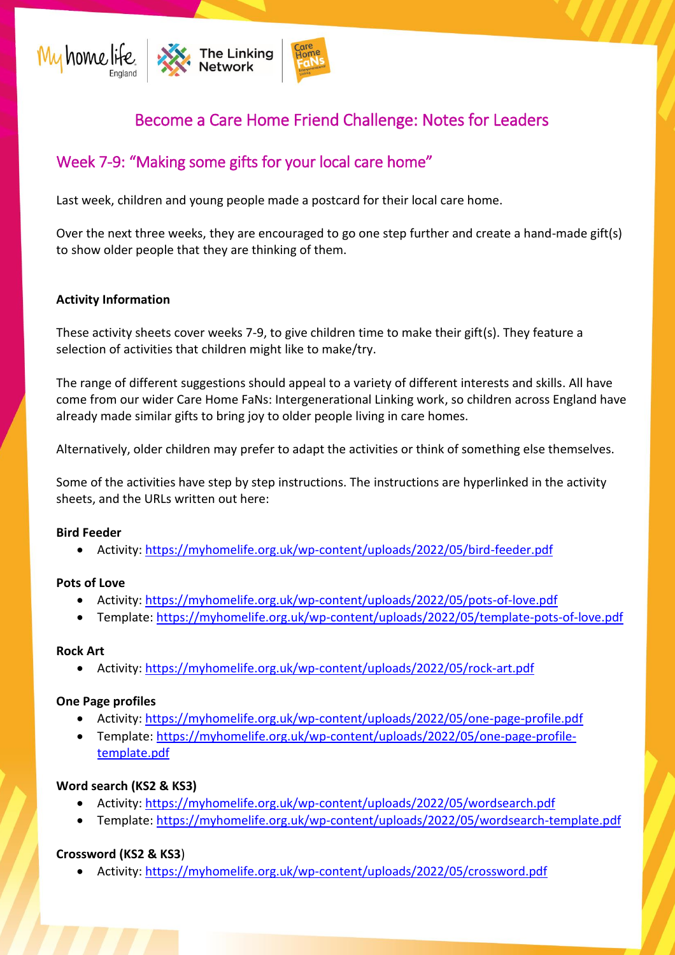

# Become a Care Home Friend Challenge: Notes for Leaders

## Week 7-9: "Making some gifts for your local care home"

Last week, children and young people made a postcard for their local care home.

Over the next three weeks, they are encouraged to go one step further and create a hand-made gift(s) to show older people that they are thinking of them.

## **Activity Information**

These activity sheets cover weeks 7-9, to give children time to make their gift(s). They feature a selection of activities that children might like to make/try.

The range of different suggestions should appeal to a variety of different interests and skills. All have come from our wider Care Home FaNs: Intergenerational Linking work, so children across England have already made similar gifts to bring joy to older people living in care homes.

Alternatively, older children may prefer to adapt the activities or think of something else themselves.

Some of the activities have step by step instructions. The instructions are hyperlinked in the activity sheets, and the URLs written out here:

#### **Bird Feeder**

• Activity:<https://myhomelife.org.uk/wp-content/uploads/2022/05/bird-feeder.pdf>

#### **Pots of Love**

- Activity:<https://myhomelife.org.uk/wp-content/uploads/2022/05/pots-of-love.pdf>
- Template:<https://myhomelife.org.uk/wp-content/uploads/2022/05/template-pots-of-love.pdf>

#### **Rock Art**

• Activity:<https://myhomelife.org.uk/wp-content/uploads/2022/05/rock-art.pdf>

#### **One Page profiles**

- Activity:<https://myhomelife.org.uk/wp-content/uploads/2022/05/one-page-profile.pdf>
- Template: [https://myhomelife.org.uk/wp-content/uploads/2022/05/one-page-profile](https://myhomelife.org.uk/wp-content/uploads/2022/05/one-page-profile-template.pdf)[template.pdf](https://myhomelife.org.uk/wp-content/uploads/2022/05/one-page-profile-template.pdf)

## **Word search (KS2 & KS3)**

- Activity:<https://myhomelife.org.uk/wp-content/uploads/2022/05/wordsearch.pdf>
- Template:<https://myhomelife.org.uk/wp-content/uploads/2022/05/wordsearch-template.pdf>

## **Crossword (KS2 & KS3**)

• Activity:<https://myhomelife.org.uk/wp-content/uploads/2022/05/crossword.pdf>